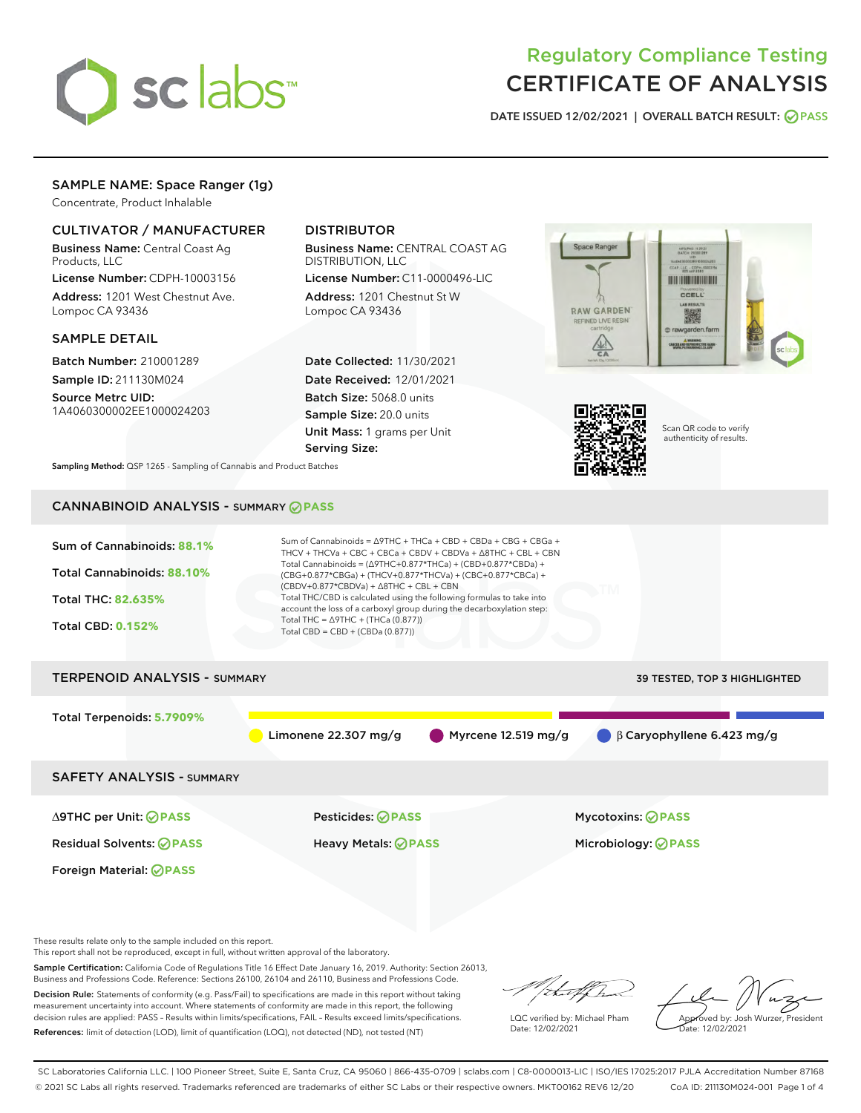

# Regulatory Compliance Testing CERTIFICATE OF ANALYSIS

DATE ISSUED 12/02/2021 | OVERALL BATCH RESULT: @ PASS

## SAMPLE NAME: Space Ranger (1g)

Concentrate, Product Inhalable

## CULTIVATOR / MANUFACTURER

Business Name: Central Coast Ag Products, LLC

License Number: CDPH-10003156 Address: 1201 West Chestnut Ave. Lompoc CA 93436

### SAMPLE DETAIL

Batch Number: 210001289 Sample ID: 211130M024

Source Metrc UID: 1A4060300002EE1000024203

## DISTRIBUTOR

Business Name: CENTRAL COAST AG DISTRIBUTION, LLC

License Number: C11-0000496-LIC Address: 1201 Chestnut St W Lompoc CA 93436

Date Collected: 11/30/2021 Date Received: 12/01/2021 Batch Size: 5068.0 units Sample Size: 20.0 units Unit Mass: 1 grams per Unit Serving Size:





Scan QR code to verify authenticity of results.

Sampling Method: QSP 1265 - Sampling of Cannabis and Product Batches

## CANNABINOID ANALYSIS - SUMMARY **PASS**

| Sum of Cannabinoids: 88.1%<br>Total Cannabinoids: 88.10%<br><b>Total THC: 82.635%</b><br><b>Total CBD: 0.152%</b> | Sum of Cannabinoids = $\triangle$ 9THC + THCa + CBD + CBDa + CBG + CBGa +<br>THCV + THCVa + CBC + CBCa + CBDV + CBDVa + $\triangle$ 8THC + CBL + CBN<br>Total Cannabinoids = $(\Delta 9THC + 0.877*THCa) + (CBD + 0.877*CBDa) +$<br>(CBG+0.877*CBGa) + (THCV+0.877*THCVa) + (CBC+0.877*CBCa) +<br>$(CBDV+0.877*CBDVa) + \Delta 8THC + CBL + CBN$<br>Total THC/CBD is calculated using the following formulas to take into<br>account the loss of a carboxyl group during the decarboxylation step:<br>Total THC = $\triangle$ 9THC + (THCa (0.877))<br>Total CBD = $CBD + (CBDa (0.877))$ |                                  |
|-------------------------------------------------------------------------------------------------------------------|-------------------------------------------------------------------------------------------------------------------------------------------------------------------------------------------------------------------------------------------------------------------------------------------------------------------------------------------------------------------------------------------------------------------------------------------------------------------------------------------------------------------------------------------------------------------------------------------|----------------------------------|
| <b>TERPENOID ANALYSIS - SUMMARY</b>                                                                               |                                                                                                                                                                                                                                                                                                                                                                                                                                                                                                                                                                                           | 39 TESTED, TOP 3 HIGHLIGHTED     |
| Total Terpenoids: 5.7909%                                                                                         | Limonene 22.307 mg/g<br>Myrcene $12.519$ mg/g                                                                                                                                                                                                                                                                                                                                                                                                                                                                                                                                             | $\beta$ Caryophyllene 6.423 mg/g |
| <b>SAFETY ANALYSIS - SUMMARY</b>                                                                                  |                                                                                                                                                                                                                                                                                                                                                                                                                                                                                                                                                                                           |                                  |
| ∆9THC per Unit: ⊘PASS                                                                                             | Pesticides: ⊘PASS                                                                                                                                                                                                                                                                                                                                                                                                                                                                                                                                                                         | <b>Mycotoxins: ⊘PASS</b>         |
| <b>Residual Solvents: ⊘ PASS</b>                                                                                  | Heavy Metals: <b>⊘</b> PASS                                                                                                                                                                                                                                                                                                                                                                                                                                                                                                                                                               | Microbiology: <b>OPASS</b>       |
| Foreign Material: <b>⊘ PASS</b>                                                                                   |                                                                                                                                                                                                                                                                                                                                                                                                                                                                                                                                                                                           |                                  |

These results relate only to the sample included on this report.

This report shall not be reproduced, except in full, without written approval of the laboratory.

Sample Certification: California Code of Regulations Title 16 Effect Date January 16, 2019. Authority: Section 26013, Business and Professions Code. Reference: Sections 26100, 26104 and 26110, Business and Professions Code.

Decision Rule: Statements of conformity (e.g. Pass/Fail) to specifications are made in this report without taking measurement uncertainty into account. Where statements of conformity are made in this report, the following decision rules are applied: PASS – Results within limits/specifications, FAIL – Results exceed limits/specifications. References: limit of detection (LOD), limit of quantification (LOQ), not detected (ND), not tested (NT)

Withat f ha

LQC verified by: Michael Pham Date: 12/02/2021

Approved by: Josh Wurzer, President Date: 12/02/2021

SC Laboratories California LLC. | 100 Pioneer Street, Suite E, Santa Cruz, CA 95060 | 866-435-0709 | sclabs.com | C8-0000013-LIC | ISO/IES 17025:2017 PJLA Accreditation Number 87168 © 2021 SC Labs all rights reserved. Trademarks referenced are trademarks of either SC Labs or their respective owners. MKT00162 REV6 12/20 CoA ID: 211130M024-001 Page 1 of 4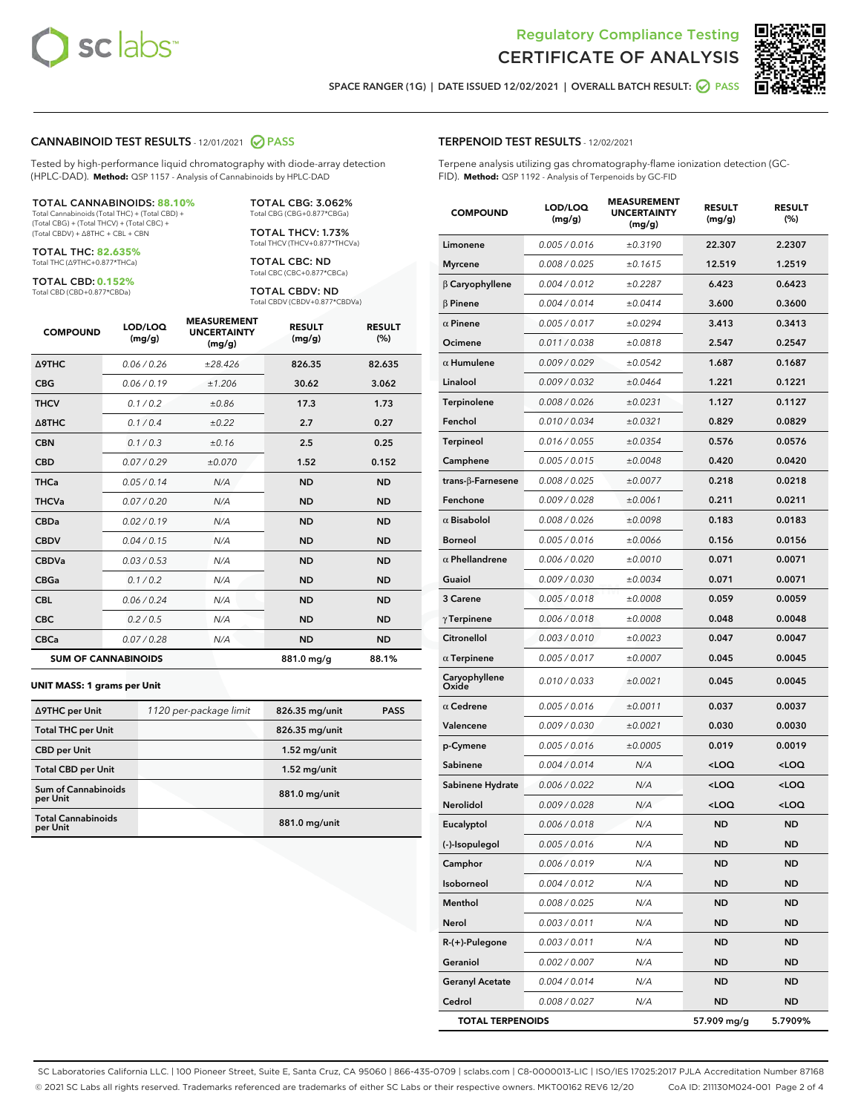



SPACE RANGER (1G) | DATE ISSUED 12/02/2021 | OVERALL BATCH RESULT: @ PASS

### CANNABINOID TEST RESULTS - 12/01/2021 2 PASS

Tested by high-performance liquid chromatography with diode-array detection (HPLC-DAD). **Method:** QSP 1157 - Analysis of Cannabinoids by HPLC-DAD

#### TOTAL CANNABINOIDS: **88.10%**

Total Cannabinoids (Total THC) + (Total CBD) + (Total CBG) + (Total THCV) + (Total CBC) + (Total CBDV) + ∆8THC + CBL + CBN

TOTAL THC: **82.635%** Total THC (∆9THC+0.877\*THCa)

TOTAL CBD: **0.152%**

Total CBD (CBD+0.877\*CBDa)

TOTAL CBG: 3.062% Total CBG (CBG+0.877\*CBGa)

TOTAL THCV: 1.73% Total THCV (THCV+0.877\*THCVa)

TOTAL CBC: ND Total CBC (CBC+0.877\*CBCa)

TOTAL CBDV: ND Total CBDV (CBDV+0.877\*CBDVa)

| <b>COMPOUND</b>  | LOD/LOQ<br>(mg/g)          | <b>MEASUREMENT</b><br><b>UNCERTAINTY</b><br>(mg/g) | <b>RESULT</b><br>(mg/g) | <b>RESULT</b><br>(%) |
|------------------|----------------------------|----------------------------------------------------|-------------------------|----------------------|
| <b>A9THC</b>     | 0.06 / 0.26                | ±28.426                                            | 826.35                  | 82.635               |
| <b>CBG</b>       | 0.06/0.19                  | ±1.206                                             | 30.62                   | 3.062                |
| <b>THCV</b>      | 0.1/0.2                    | ±0.86                                              | 17.3                    | 1.73                 |
| $\triangle$ 8THC | 0.1/0.4                    | ±0.22                                              | 2.7                     | 0.27                 |
| <b>CBN</b>       | 0.1/0.3                    | ±0.16                                              | 2.5                     | 0.25                 |
| <b>CBD</b>       | 0.07/0.29                  | ±0.070                                             | 1.52                    | 0.152                |
| <b>THCa</b>      | 0.05 / 0.14                | N/A                                                | <b>ND</b>               | <b>ND</b>            |
| <b>THCVa</b>     | 0.07/0.20                  | N/A                                                | <b>ND</b>               | <b>ND</b>            |
| <b>CBDa</b>      | 0.02/0.19                  | N/A                                                | <b>ND</b>               | <b>ND</b>            |
| <b>CBDV</b>      | 0.04 / 0.15                | N/A                                                | <b>ND</b>               | <b>ND</b>            |
| <b>CBDVa</b>     | 0.03/0.53                  | N/A                                                | <b>ND</b>               | <b>ND</b>            |
| <b>CBGa</b>      | 0.1 / 0.2                  | N/A                                                | <b>ND</b>               | <b>ND</b>            |
| <b>CBL</b>       | 0.06 / 0.24                | N/A                                                | <b>ND</b>               | <b>ND</b>            |
| <b>CBC</b>       | 0.2 / 0.5                  | N/A                                                | <b>ND</b>               | <b>ND</b>            |
| <b>CBCa</b>      | 0.07/0.28                  | N/A                                                | <b>ND</b>               | <b>ND</b>            |
|                  | <b>SUM OF CANNABINOIDS</b> |                                                    | 881.0 mg/g              | 88.1%                |

#### **UNIT MASS: 1 grams per Unit**

| ∆9THC per Unit                         | 1120 per-package limit | 826.35 mg/unit | <b>PASS</b> |
|----------------------------------------|------------------------|----------------|-------------|
| <b>Total THC per Unit</b>              |                        | 826.35 mg/unit |             |
| <b>CBD per Unit</b>                    |                        | $1.52$ mg/unit |             |
| <b>Total CBD per Unit</b>              |                        | $1.52$ mg/unit |             |
| <b>Sum of Cannabinoids</b><br>per Unit |                        | 881.0 mg/unit  |             |
| <b>Total Cannabinoids</b><br>per Unit  |                        | 881.0 mg/unit  |             |

# TERPENOID TEST RESULTS - 12/02/2021

Terpene analysis utilizing gas chromatography-flame ionization detection (GC-FID). **Method:** QSP 1192 - Analysis of Terpenoids by GC-FID

| <b>COMPOUND</b>          | LOD/LOQ<br>(mg/g) | <b>MEASUREMENT</b><br>UNCERTAINTY<br>(mg/g) | <b>RESULT</b><br>(mg/g)                         | <b>RESULT</b><br>$(\%)$ |
|--------------------------|-------------------|---------------------------------------------|-------------------------------------------------|-------------------------|
| Limonene                 | 0.005 / 0.016     | ±0.3190                                     | 22.307                                          | 2.2307                  |
| <b>Myrcene</b>           | 0.008 / 0.025     | ±0.1615                                     | 12.519                                          | 1.2519                  |
| $\beta$ Caryophyllene    | 0.004 / 0.012     | ±0.2287                                     | 6.423                                           | 0.6423                  |
| $\beta$ Pinene           | 0.004 / 0.014     | ±0.0414                                     | 3.600                                           | 0.3600                  |
| $\alpha$ Pinene          | 0.005 / 0.017     | ±0.0294                                     | 3.413                                           | 0.3413                  |
| Ocimene                  | 0.011 / 0.038     | ±0.0818                                     | 2.547                                           | 0.2547                  |
| $\alpha$ Humulene        | 0.009/0.029       | ±0.0542                                     | 1.687                                           | 0.1687                  |
| Linalool                 | 0.009 / 0.032     | ±0.0464                                     | 1.221                                           | 0.1221                  |
| Terpinolene              | 0.008 / 0.026     | ±0.0231                                     | 1.127                                           | 0.1127                  |
| Fenchol                  | 0.010 / 0.034     | ±0.0321                                     | 0.829                                           | 0.0829                  |
| <b>Terpineol</b>         | 0.016 / 0.055     | ±0.0354                                     | 0.576                                           | 0.0576                  |
| Camphene                 | 0.005 / 0.015     | ±0.0048                                     | 0.420                                           | 0.0420                  |
| $trans-\beta$ -Farnesene | 0.008 / 0.025     | ±0.0077                                     | 0.218                                           | 0.0218                  |
| Fenchone                 | 0.009 / 0.028     | ±0.0061                                     | 0.211                                           | 0.0211                  |
| $\alpha$ Bisabolol       | 0.008 / 0.026     | ±0.0098                                     | 0.183                                           | 0.0183                  |
| <b>Borneol</b>           | 0.005 / 0.016     | ±0.0066                                     | 0.156                                           | 0.0156                  |
| $\alpha$ Phellandrene    | 0.006 / 0.020     | ±0.0010                                     | 0.071                                           | 0.0071                  |
| Guaiol                   | 0.009 / 0.030     | ±0.0034                                     | 0.071                                           | 0.0071                  |
| 3 Carene                 | 0.005 / 0.018     | ±0.0008                                     | 0.059                                           | 0.0059                  |
| $\gamma$ Terpinene       | 0.006 / 0.018     | ±0.0008                                     | 0.048                                           | 0.0048                  |
| Citronellol              | 0.003 / 0.010     | ±0.0023                                     | 0.047                                           | 0.0047                  |
| $\alpha$ Terpinene       | 0.005 / 0.017     | ±0.0007                                     | 0.045                                           | 0.0045                  |
| Caryophyllene<br>Oxide   | 0.010 / 0.033     | ±0.0021                                     | 0.045                                           | 0.0045                  |
| $\alpha$ Cedrene         | 0.005 / 0.016     | ±0.0011                                     | 0.037                                           | 0.0037                  |
| Valencene                | 0.009 / 0.030     | ±0.0021                                     | 0.030                                           | 0.0030                  |
| p-Cymene                 | 0.005 / 0.016     | ±0.0005                                     | 0.019                                           | 0.0019                  |
| Sabinene                 | 0.004 / 0.014     | N/A                                         | <loq< th=""><th><loq< th=""></loq<></th></loq<> | <loq< th=""></loq<>     |
| Sabinene Hydrate         | 0.006 / 0.022     | N/A                                         | <loq< th=""><th><loq< th=""></loq<></th></loq<> | <loq< th=""></loq<>     |
| Nerolidol                | 0.009 / 0.028     | N/A                                         | <loq< th=""><th><loq< th=""></loq<></th></loq<> | <loq< th=""></loq<>     |
| Eucalyptol               | 0.006 / 0.018     | N/A                                         | ND                                              | ND                      |
| (-)-Isopulegol           | 0.005 / 0.016     | N/A                                         | <b>ND</b>                                       | ND                      |
| Camphor                  | 0.006 / 0.019     | N/A                                         | ND                                              | ND                      |
| Isoborneol               | 0.004 / 0.012     | N/A                                         | <b>ND</b>                                       | ND                      |
| Menthol                  | 0.008 / 0.025     | N/A                                         | <b>ND</b>                                       | <b>ND</b>               |
| Nerol                    | 0.003 / 0.011     | N/A                                         | ND                                              | ND                      |
| R-(+)-Pulegone           | 0.003 / 0.011     | N/A                                         | ND                                              | ND                      |
| Geraniol                 | 0.002 / 0.007     | N/A                                         | <b>ND</b>                                       | ND                      |
| <b>Geranyl Acetate</b>   | 0.004 / 0.014     | N/A                                         | ND                                              | ND                      |
| Cedrol                   | 0.008 / 0.027     | N/A                                         | ND                                              | <b>ND</b>               |
| <b>TOTAL TERPENOIDS</b>  |                   |                                             | 57.909 mg/g                                     | 5.7909%                 |

SC Laboratories California LLC. | 100 Pioneer Street, Suite E, Santa Cruz, CA 95060 | 866-435-0709 | sclabs.com | C8-0000013-LIC | ISO/IES 17025:2017 PJLA Accreditation Number 87168 © 2021 SC Labs all rights reserved. Trademarks referenced are trademarks of either SC Labs or their respective owners. MKT00162 REV6 12/20 CoA ID: 211130M024-001 Page 2 of 4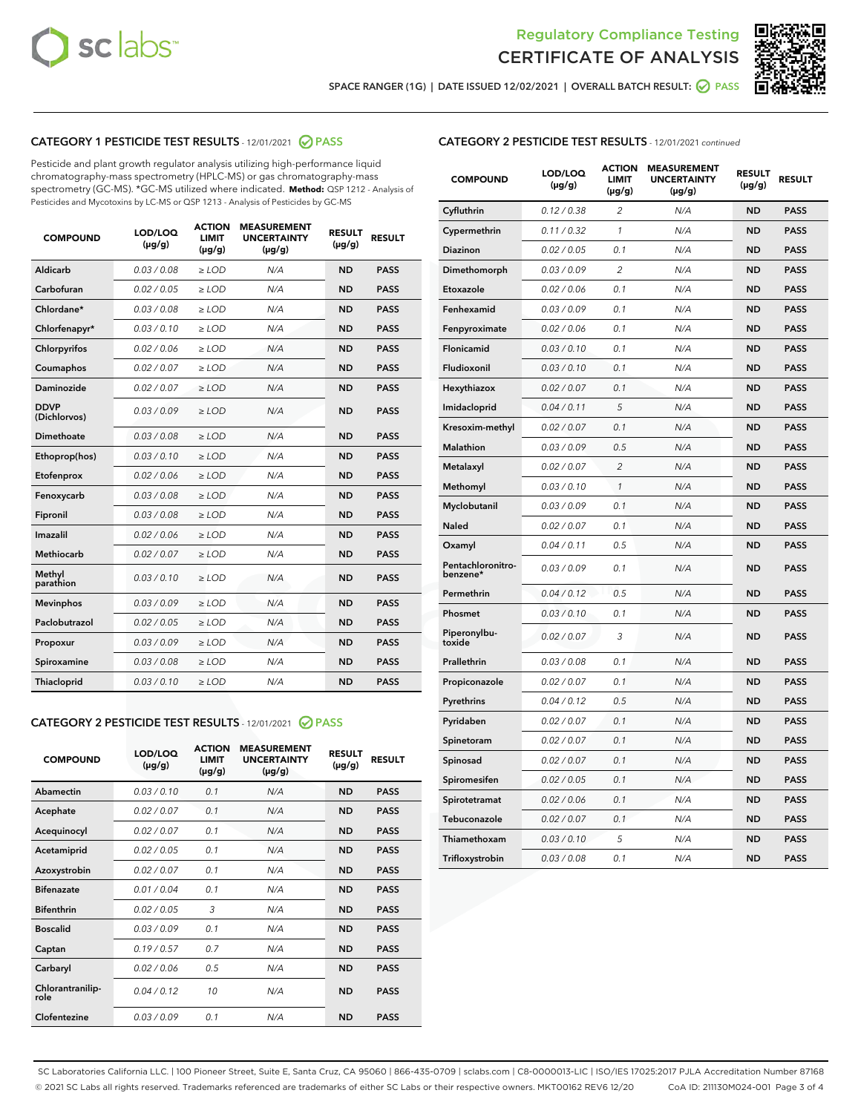



SPACE RANGER (1G) | DATE ISSUED 12/02/2021 | OVERALL BATCH RESULT:  $\bigcirc$  PASS

## CATEGORY 1 PESTICIDE TEST RESULTS - 12/01/2021 2 PASS

Pesticide and plant growth regulator analysis utilizing high-performance liquid chromatography-mass spectrometry (HPLC-MS) or gas chromatography-mass spectrometry (GC-MS). \*GC-MS utilized where indicated. **Method:** QSP 1212 - Analysis of Pesticides and Mycotoxins by LC-MS or QSP 1213 - Analysis of Pesticides by GC-MS

| <b>COMPOUND</b>             | LOD/LOQ<br>$(\mu g/g)$ | <b>ACTION</b><br><b>LIMIT</b><br>$(\mu g/g)$ | <b>MEASUREMENT</b><br><b>UNCERTAINTY</b><br>$(\mu g/g)$ | <b>RESULT</b><br>$(\mu g/g)$ | <b>RESULT</b> |
|-----------------------------|------------------------|----------------------------------------------|---------------------------------------------------------|------------------------------|---------------|
| Aldicarb                    | 0.03/0.08              | $\ge$ LOD                                    | N/A                                                     | <b>ND</b>                    | <b>PASS</b>   |
| Carbofuran                  | 0.02 / 0.05            | $\ge$ LOD                                    | N/A                                                     | <b>ND</b>                    | <b>PASS</b>   |
| Chlordane*                  | 0.03 / 0.08            | $\ge$ LOD                                    | N/A                                                     | <b>ND</b>                    | <b>PASS</b>   |
| Chlorfenapyr*               | 0.03/0.10              | $\ge$ LOD                                    | N/A                                                     | <b>ND</b>                    | <b>PASS</b>   |
| Chlorpyrifos                | 0.02 / 0.06            | $\ge$ LOD                                    | N/A                                                     | <b>ND</b>                    | <b>PASS</b>   |
| Coumaphos                   | 0.02 / 0.07            | $\ge$ LOD                                    | N/A                                                     | <b>ND</b>                    | <b>PASS</b>   |
| Daminozide                  | 0.02 / 0.07            | $\ge$ LOD                                    | N/A                                                     | <b>ND</b>                    | <b>PASS</b>   |
| <b>DDVP</b><br>(Dichlorvos) | 0.03/0.09              | $>$ LOD                                      | N/A                                                     | <b>ND</b>                    | <b>PASS</b>   |
| Dimethoate                  | 0.03/0.08              | $\ge$ LOD                                    | N/A                                                     | <b>ND</b>                    | <b>PASS</b>   |
| Ethoprop(hos)               | 0.03/0.10              | $\ge$ LOD                                    | N/A                                                     | <b>ND</b>                    | <b>PASS</b>   |
| Etofenprox                  | 0.02/0.06              | $>$ LOD                                      | N/A                                                     | <b>ND</b>                    | <b>PASS</b>   |
| Fenoxycarb                  | 0.03 / 0.08            | $\ge$ LOD                                    | N/A                                                     | <b>ND</b>                    | <b>PASS</b>   |
| Fipronil                    | 0.03/0.08              | $>$ LOD                                      | N/A                                                     | <b>ND</b>                    | <b>PASS</b>   |
| Imazalil                    | 0.02 / 0.06            | $\ge$ LOD                                    | N/A                                                     | <b>ND</b>                    | <b>PASS</b>   |
| Methiocarb                  | 0.02 / 0.07            | $\ge$ LOD                                    | N/A                                                     | <b>ND</b>                    | <b>PASS</b>   |
| Methyl<br>parathion         | 0.03/0.10              | $>$ LOD                                      | N/A                                                     | <b>ND</b>                    | <b>PASS</b>   |
| <b>Mevinphos</b>            | 0.03/0.09              | $>$ LOD                                      | N/A                                                     | <b>ND</b>                    | <b>PASS</b>   |
| Paclobutrazol               | 0.02 / 0.05            | $\ge$ LOD                                    | N/A                                                     | <b>ND</b>                    | <b>PASS</b>   |
| Propoxur                    | 0.03/0.09              | $\ge$ LOD                                    | N/A                                                     | <b>ND</b>                    | <b>PASS</b>   |
| Spiroxamine                 | 0.03/0.08              | $\ge$ LOD                                    | N/A                                                     | <b>ND</b>                    | <b>PASS</b>   |
| Thiacloprid                 | 0.03/0.10              | $\ge$ LOD                                    | N/A                                                     | <b>ND</b>                    | <b>PASS</b>   |

### CATEGORY 2 PESTICIDE TEST RESULTS - 12/01/2021 @ PASS

| <b>COMPOUND</b>          | LOD/LOO<br>$(\mu g/g)$ | <b>ACTION</b><br>LIMIT<br>$(\mu g/g)$ | <b>MEASUREMENT</b><br><b>UNCERTAINTY</b><br>$(\mu g/g)$ | <b>RESULT</b><br>$(\mu g/g)$ | <b>RESULT</b> |  |
|--------------------------|------------------------|---------------------------------------|---------------------------------------------------------|------------------------------|---------------|--|
| Abamectin                | 0.03/0.10              | 0.1                                   | N/A                                                     | <b>ND</b>                    | <b>PASS</b>   |  |
| Acephate                 | 0.02/0.07              | 0.1                                   | N/A                                                     | <b>ND</b>                    | <b>PASS</b>   |  |
| Acequinocyl              | 0.02/0.07              | 0.1                                   | N/A                                                     | <b>ND</b>                    | <b>PASS</b>   |  |
| Acetamiprid              | 0.02 / 0.05            | 0.1                                   | N/A                                                     | <b>ND</b>                    | <b>PASS</b>   |  |
| Azoxystrobin             | 0.02/0.07              | 0.1                                   | N/A                                                     | <b>ND</b>                    | <b>PASS</b>   |  |
| <b>Bifenazate</b>        | 0.01 / 0.04            | 0.1                                   | N/A                                                     | <b>ND</b>                    | <b>PASS</b>   |  |
| <b>Bifenthrin</b>        | 0.02/0.05              | 3                                     | N/A                                                     | <b>ND</b>                    | <b>PASS</b>   |  |
| <b>Boscalid</b>          | 0.03/0.09              | 0.1                                   | N/A                                                     | <b>ND</b>                    | <b>PASS</b>   |  |
| Captan                   | 0.19/0.57              | 0.7                                   | N/A                                                     | <b>ND</b>                    | <b>PASS</b>   |  |
| Carbaryl                 | 0.02/0.06              | 0.5                                   | N/A                                                     | <b>ND</b>                    | <b>PASS</b>   |  |
| Chlorantranilip-<br>role | 0.04/0.12              | 10                                    | N/A                                                     | <b>ND</b>                    | <b>PASS</b>   |  |
| Clofentezine             | 0.03/0.09              | 0.1                                   | N/A                                                     | <b>ND</b>                    | <b>PASS</b>   |  |

| <b>COMPOUND</b>               | LOD/LOQ<br>(µg/g) | <b>ACTION</b><br>LIMIT<br>$(\mu g/g)$ | <b>MEASUREMENT</b><br><b>UNCERTAINTY</b><br>(µg/g) | <b>RESULT</b><br>(µg/g) | <b>RESULT</b> |
|-------------------------------|-------------------|---------------------------------------|----------------------------------------------------|-------------------------|---------------|
| Cyfluthrin                    | 0.12 / 0.38       | $\overline{c}$                        | N/A                                                | ND                      | <b>PASS</b>   |
| Cypermethrin                  | 0.11 / 0.32       | $\mathcal{I}$                         | N/A                                                | ND                      | <b>PASS</b>   |
| Diazinon                      | 0.02 / 0.05       | 0.1                                   | N/A                                                | ND                      | <b>PASS</b>   |
| Dimethomorph                  | 0.03 / 0.09       | 2                                     | N/A                                                | <b>ND</b>               | <b>PASS</b>   |
| Etoxazole                     | 0.02 / 0.06       | 0.1                                   | N/A                                                | ND                      | <b>PASS</b>   |
| Fenhexamid                    | 0.03 / 0.09       | 0.1                                   | N/A                                                | ND                      | <b>PASS</b>   |
| Fenpyroximate                 | 0.02 / 0.06       | 0.1                                   | N/A                                                | <b>ND</b>               | <b>PASS</b>   |
| Flonicamid                    | 0.03 / 0.10       | 0.1                                   | N/A                                                | ND                      | <b>PASS</b>   |
| Fludioxonil                   | 0.03 / 0.10       | 0.1                                   | N/A                                                | <b>ND</b>               | <b>PASS</b>   |
| Hexythiazox                   | 0.02 / 0.07       | 0.1                                   | N/A                                                | ND                      | <b>PASS</b>   |
| Imidacloprid                  | 0.04 / 0.11       | 5                                     | N/A                                                | ND                      | <b>PASS</b>   |
| Kresoxim-methyl               | 0.02 / 0.07       | 0.1                                   | N/A                                                | ND                      | <b>PASS</b>   |
| <b>Malathion</b>              | 0.03 / 0.09       | 0.5                                   | N/A                                                | <b>ND</b>               | <b>PASS</b>   |
| Metalaxyl                     | 0.02 / 0.07       | $\overline{c}$                        | N/A                                                | <b>ND</b>               | <b>PASS</b>   |
| Methomyl                      | 0.03 / 0.10       | 1                                     | N/A                                                | <b>ND</b>               | <b>PASS</b>   |
| Myclobutanil                  | 0.03 / 0.09       | 0.1                                   | N/A                                                | <b>ND</b>               | <b>PASS</b>   |
| Naled                         | 0.02 / 0.07       | 0.1                                   | N/A                                                | ND                      | <b>PASS</b>   |
| Oxamyl                        | 0.04 / 0.11       | 0.5                                   | N/A                                                | ND                      | <b>PASS</b>   |
| Pentachloronitro-<br>benzene* | 0.03 / 0.09       | 0.1                                   | N/A                                                | ND                      | <b>PASS</b>   |
| Permethrin                    | 0.04 / 0.12       | 0.5                                   | N/A                                                | <b>ND</b>               | <b>PASS</b>   |
| Phosmet                       | 0.03 / 0.10       | 0.1                                   | N/A                                                | ND                      | <b>PASS</b>   |
| Piperonylbu-<br>toxide        | 0.02 / 0.07       | 3                                     | N/A                                                | <b>ND</b>               | <b>PASS</b>   |
| Prallethrin                   | 0.03 / 0.08       | 0.1                                   | N/A                                                | <b>ND</b>               | <b>PASS</b>   |
| Propiconazole                 | 0.02 / 0.07       | 0.1                                   | N/A                                                | ND                      | <b>PASS</b>   |
| Pyrethrins                    | 0.04 / 0.12       | 0.5                                   | N/A                                                | ND                      | <b>PASS</b>   |
| Pyridaben                     | 0.02 / 0.07       | 0.1                                   | N/A                                                | <b>ND</b>               | <b>PASS</b>   |
| Spinetoram                    | 0.02 / 0.07       | 0.1                                   | N/A                                                | ND                      | <b>PASS</b>   |
| Spinosad                      | 0.02 / 0.07       | 0.1                                   | N/A                                                | ND                      | <b>PASS</b>   |
| Spiromesifen                  | 0.02 / 0.05       | 0.1                                   | N/A                                                | <b>ND</b>               | <b>PASS</b>   |
| Spirotetramat                 | 0.02 / 0.06       | 0.1                                   | N/A                                                | ND                      | <b>PASS</b>   |
| Tebuconazole                  | 0.02 / 0.07       | 0.1                                   | N/A                                                | ND                      | <b>PASS</b>   |
| Thiamethoxam                  | 0.03 / 0.10       | 5                                     | N/A                                                | <b>ND</b>               | <b>PASS</b>   |
| Trifloxystrobin               | 0.03 / 0.08       | 0.1                                   | N/A                                                | <b>ND</b>               | <b>PASS</b>   |

SC Laboratories California LLC. | 100 Pioneer Street, Suite E, Santa Cruz, CA 95060 | 866-435-0709 | sclabs.com | C8-0000013-LIC | ISO/IES 17025:2017 PJLA Accreditation Number 87168 © 2021 SC Labs all rights reserved. Trademarks referenced are trademarks of either SC Labs or their respective owners. MKT00162 REV6 12/20 CoA ID: 211130M024-001 Page 3 of 4